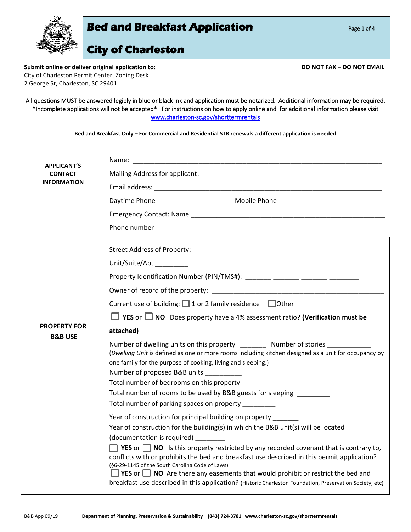

**Submit online or deliver original application to: DO NOT FAX – DO NOT EMAIL** City of Charleston Permit Center, Zoning Desk 2 George St, Charleston, SC 29401

#### All questions MUST be answered legibly in blue or black ink and application must be notarized. Additional information may be required. \*Incomplete applications will not be accepted\* For instructions on how to apply online and for additional information please visit [www.charleston-sc.gov/shorttermrentals](http://www.charleston-sc.gov/shorttermrentals)

| Bed and Breakfast Only - For Commercial and Residential STR renewals a different application is needed |  |
|--------------------------------------------------------------------------------------------------------|--|
|--------------------------------------------------------------------------------------------------------|--|

| <b>APPLICANT'S</b><br><b>CONTACT</b>      |                                                                                                                                                                                                                                                            |
|-------------------------------------------|------------------------------------------------------------------------------------------------------------------------------------------------------------------------------------------------------------------------------------------------------------|
| <b>INFORMATION</b>                        |                                                                                                                                                                                                                                                            |
|                                           | Daytime Phone example and the Mobile Phone example and the Mobile Phone example and the contract of the Contract of the Contract of the Contract of the Contract of the Contract of the Contract of the Contract of the Contra                             |
|                                           |                                                                                                                                                                                                                                                            |
|                                           |                                                                                                                                                                                                                                                            |
|                                           |                                                                                                                                                                                                                                                            |
|                                           | Unit/Suite/Apt _________                                                                                                                                                                                                                                   |
|                                           |                                                                                                                                                                                                                                                            |
|                                           |                                                                                                                                                                                                                                                            |
|                                           | Current use of building: □ 1 or 2 family residence □ Other                                                                                                                                                                                                 |
|                                           | $\Box$ YES or $\Box$ NO Does property have a 4% assessment ratio? (Verification must be                                                                                                                                                                    |
| <b>PROPERTY FOR</b><br><b>B&amp;B USE</b> | attached)                                                                                                                                                                                                                                                  |
|                                           | Number of dwelling units on this property _________ Number of stories ___<br>(Dwelling Unit is defined as one or more rooms including kitchen designed as a unit for occupancy by                                                                          |
|                                           |                                                                                                                                                                                                                                                            |
|                                           | one family for the purpose of cooking, living and sleeping.)<br>Number of proposed B&B units                                                                                                                                                               |
|                                           | Total number of bedrooms on this property _______________                                                                                                                                                                                                  |
|                                           | Total number of rooms to be used by B&B guests for sleeping _______                                                                                                                                                                                        |
|                                           | Total number of parking spaces on property ________<br>Year of construction for principal building on property                                                                                                                                             |
|                                           | Year of construction for the building(s) in which the B&B unit(s) will be located                                                                                                                                                                          |
|                                           | (documentation is required) _______                                                                                                                                                                                                                        |
|                                           | <b>T</b> YES or $\Box$ NO is this property restricted by any recorded covenant that is contrary to,<br>conflicts with or prohibits the bed and breakfast use described in this permit application?                                                         |
|                                           | (§6-29-1145 of the South Carolina Code of Laws)<br>$\Box$ YES or $\Box$ NO Are there any easements that would prohibit or restrict the bed and<br>breakfast use described in this application? (Historic Charleston Foundation, Preservation Society, etc) |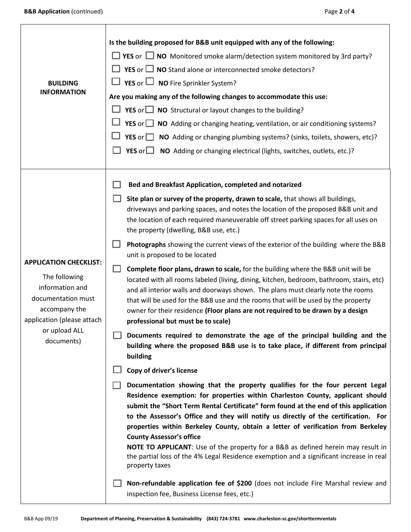Τ

 $\overline{1}$ 

٦

| <b>BUILDING</b><br><b>INFORMATION</b>                                                                                                                                 | Is the building proposed for B&B unit equipped with any of the following:<br><b>YES</b> or $\Box$ <b>NO</b> Monitored smoke alarm/detection system monitored by 3rd party?<br>$\Box$ YES or $\Box$ NO Stand alone or interconnected smoke detectors?<br>$\Box$ YES or $\Box$ NO Fire Sprinkler System?<br>Are you making any of the following changes to accommodate this use:<br><b>YES</b> or $\Box$ <b>NO</b> Structural or layout changes to the building?<br><b>YES</b> or $\Box$ <b>NO</b> Adding or changing heating, ventilation, or air conditioning systems?<br>YES or $\Box$<br>NO Adding or changing plumbing systems? (sinks, toilets, showers, etc)?<br>YES or NO Adding or changing electrical (lights, switches, outlets, etc.)?                                                                                                                                                                                                                                                                                                                                                                                                                                                                                                                                                                                                                                                                                                                                                                                                                                                                                                                                                                                                                                                                                                                                                                                                                                                             |
|-----------------------------------------------------------------------------------------------------------------------------------------------------------------------|--------------------------------------------------------------------------------------------------------------------------------------------------------------------------------------------------------------------------------------------------------------------------------------------------------------------------------------------------------------------------------------------------------------------------------------------------------------------------------------------------------------------------------------------------------------------------------------------------------------------------------------------------------------------------------------------------------------------------------------------------------------------------------------------------------------------------------------------------------------------------------------------------------------------------------------------------------------------------------------------------------------------------------------------------------------------------------------------------------------------------------------------------------------------------------------------------------------------------------------------------------------------------------------------------------------------------------------------------------------------------------------------------------------------------------------------------------------------------------------------------------------------------------------------------------------------------------------------------------------------------------------------------------------------------------------------------------------------------------------------------------------------------------------------------------------------------------------------------------------------------------------------------------------------------------------------------------------------------------------------------------------|
| <b>APPLICATION CHECKLIST:</b><br>The following<br>information and<br>documentation must<br>accompany the<br>application (please attach<br>or upload ALL<br>documents) | Bed and Breakfast Application, completed and notarized<br>Site plan or survey of the property, drawn to scale, that shows all buildings,<br>driveways and parking spaces, and notes the location of the proposed B&B unit and<br>the location of each required maneuverable off street parking spaces for all uses on<br>the property (dwelling, B&B use, etc.)<br>Photographs showing the current views of the exterior of the building where the B&B<br>unit is proposed to be located<br>Complete floor plans, drawn to scale, for the building where the B&B unit will be<br>located with all rooms labeled (living, dining, kitchen, bedroom, bathroom, stairs, etc)<br>and all interior walls and doorways shown. The plans must clearly note the rooms<br>that will be used for the B&B use and the rooms that will be used by the property<br>owner for their residence (Floor plans are not required to be drawn by a design<br>professional but must be to scale)<br>Documents required to demonstrate the age of the principal building and the<br>building where the proposed B&B use is to take place, if different from principal<br>building<br>Copy of driver's license<br>Documentation showing that the property qualifies for the four percent Legal<br>Residence exemption: for properties within Charleston County, applicant should<br>submit the "Short Term Rental Certificate" form found at the end of this application<br>to the Assessor's Office and they will notify us directly of the certification. For<br>properties within Berkeley County, obtain a letter of verification from Berkeley<br><b>County Assessor's office</b><br><b>NOTE TO APPLICANT:</b> Use of the property for a B&B as defined herein may result in<br>the partial loss of the 4% Legal Residence exemption and a significant increase in real<br>property taxes<br>Non-refundable application fee of \$200 (does not include Fire Marshal review and<br>inspection fee, Business License fees, etc.) |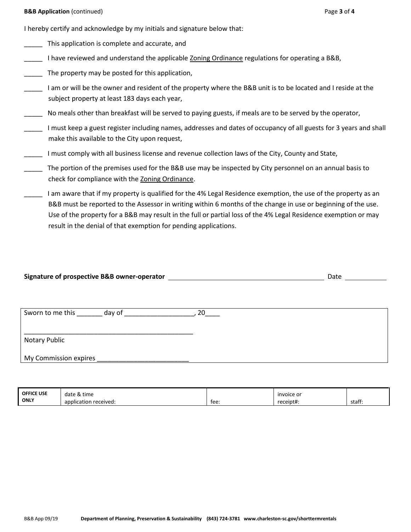I hereby certify and acknowledge by my initials and signature below that:

- This application is complete and accurate, and
- I have reviewed and understand the applicable Zoning Ordinance regulations for operating a B&B,
- The property may be posted for this application,
- I am or will be the owner and resident of the property where the B&B unit is to be located and I reside at the subject property at least 183 days each year,
- No meals other than breakfast will be served to paying guests, if meals are to be served by the operator,
- \_\_\_\_\_ I must keep a guest register including names, addresses and dates of occupancy of all guests for 3 years and shall make this available to the City upon request,
- \_\_\_\_\_ I must comply with all business license and revenue collection laws of the City, County and State,
- The portion of the premises used for the B&B use may be inspected by City personnel on an annual basis to check for compliance with the Zoning Ordinance.
- I am aware that if my property is qualified for the 4% Legal Residence exemption, the use of the property as an B&B must be reported to the Assessor in writing within 6 months of the change in use or beginning of the use. Use of the property for a B&B may result in the full or partial loss of the 4% Legal Residence exemption or may result in the denial of that exemption for pending applications.

| Signature of prospective B&B owner-operator | Date |  |
|---------------------------------------------|------|--|
|                                             |      |  |

| Sworn to me this<br>day of | חר |
|----------------------------|----|
|                            |    |
| Notary Public              |    |
| My Commission expires      |    |

| <b>OFFICE USE</b> | date & time           |      | invoice or |        |
|-------------------|-----------------------|------|------------|--------|
| <b>ONLY</b>       | application received: | tee: | receipt#:  | staff: |